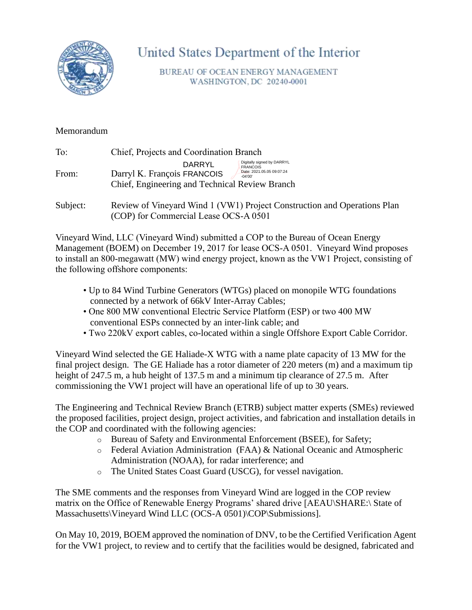

United States Department of the Interior

BUREAU OF OCEAN ENERGY MANAGEMENT WASHINGTON, DC 20240-0001

## Memorandum

| To:   | Chief, Projects and Coordination Branch                                                                                                                                            |  |  |
|-------|------------------------------------------------------------------------------------------------------------------------------------------------------------------------------------|--|--|
| From: | Digitally signed by DARRYL<br>DARRYL<br><b>FRANCOIS</b><br>Date: 2021.05.05 09:07:24<br>Darryl K. François FRANCOIS<br>$-04'00'$<br>Chief, Engineering and Technical Review Branch |  |  |
|       |                                                                                                                                                                                    |  |  |

Subject: Review of Vineyard Wind 1 (VW1) Project Construction and Operations Plan (COP) for Commercial Lease OCS-A 0501

Vineyard Wind, LLC (Vineyard Wind) submitted a COP to the Bureau of Ocean Energy Management (BOEM) on December 19, 2017 for lease OCS-A 0501. Vineyard Wind proposes to install an 800-megawatt (MW) wind energy project, known as the VW1 Project, consisting of the following offshore components:

- Up to 84 Wind Turbine Generators (WTGs) placed on monopile WTG foundations connected by a network of 66kV Inter-Array Cables;
- One 800 MW conventional Electric Service Platform (ESP) or two 400 MW conventional ESPs connected by an inter-link cable; and
- Two 220kV export cables, co-located within a single Offshore Export Cable Corridor.

Vineyard Wind selected the GE Haliade-X WTG with a name plate capacity of 13 MW for the final project design. The GE Haliade has a rotor diameter of 220 meters (m) and a maximum tip height of 247.5 m, a hub height of 137.5 m and a minimum tip clearance of 27.5 m. After commissioning the VW1 project will have an operational life of up to 30 years.

The Engineering and Technical Review Branch (ETRB) subject matter experts (SMEs) reviewed the proposed facilities, project design, project activities, and fabrication and installation details in the COP and coordinated with the following agencies:

- o Bureau of Safety and Environmental Enforcement (BSEE), for Safety;
- o Federal Aviation Administration (FAA) & National Oceanic and Atmospheric Administration (NOAA), for radar interference; and
- o The United States Coast Guard (USCG), for vessel navigation.

The SME comments and the responses from Vineyard Wind are logged in the COP review matrix on the Office of Renewable Energy Programs' shared drive [AEAU\SHARE:\ State of Massachusetts\Vineyard Wind LLC (OCS-A 0501)\COP\Submissions].

On May 10, 2019, BOEM approved the nomination of DNV, to be the Certified Verification Agent for the VW1 project, to review and to certify that the facilities would be designed, fabricated and